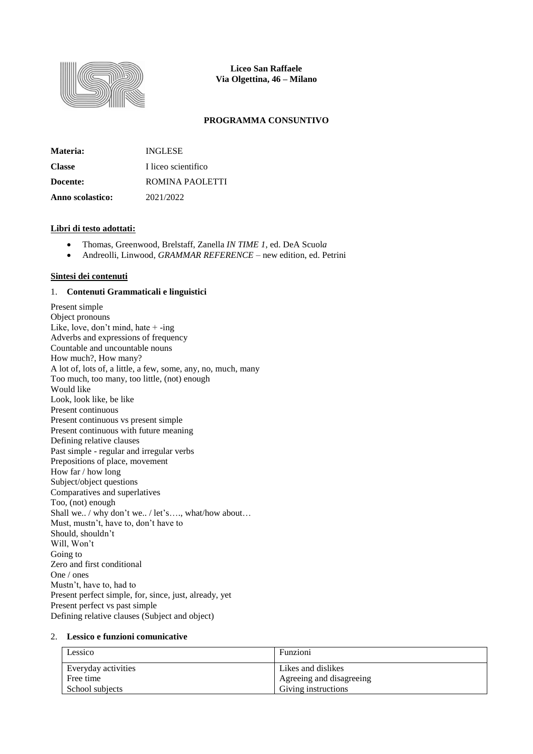

**Liceo San Raffaele Via Olgettina, 46 – Milano**

## **PROGRAMMA CONSUNTIVO**

| Materia:         | <b>INGLESE</b>      |
|------------------|---------------------|
| <b>Classe</b>    | I liceo scientifico |
| Docente:         | ROMINA PAOLETTI     |
| Anno scolastico: | 2021/2022           |

#### **Libri di testo adottati:**

- Thomas, Greenwood, Brelstaff, Zanella *IN TIME 1*, ed. DeA Scuol*a*
- Andreolli, Linwood, *GRAMMAR REFERENCE* new edition, ed. Petrini

## **Sintesi dei contenuti**

## 1. **Contenuti Grammaticali e linguistici**

Present simple Object pronouns Like, love, don't mind, hate  $+$  -ing Adverbs and expressions of frequency Countable and uncountable nouns How much?, How many? A lot of, lots of, a little, a few, some, any, no, much, many Too much, too many, too little, (not) enough Would like Look, look like, be like Present continuous Present continuous vs present simple Present continuous with future meaning Defining relative clauses Past simple - regular and irregular verbs Prepositions of place, movement How far / how long Subject/object questions Comparatives and superlatives Too, (not) enough Shall we.. / why don't we.. / let's…., what/how about… Must, mustn't, have to, don't have to Should, shouldn't Will, Won't Going to Zero and first conditional One / ones Mustn't, have to, had to Present perfect simple, for, since, just, already, yet Present perfect vs past simple Defining relative clauses (Subject and object)

#### 2. **Lessico e funzioni comunicative**

| Lessico             | Funzioni                 |
|---------------------|--------------------------|
| Everyday activities | Likes and dislikes       |
| Free time           | Agreeing and disagreeing |
| School subjects     | Giving instructions      |